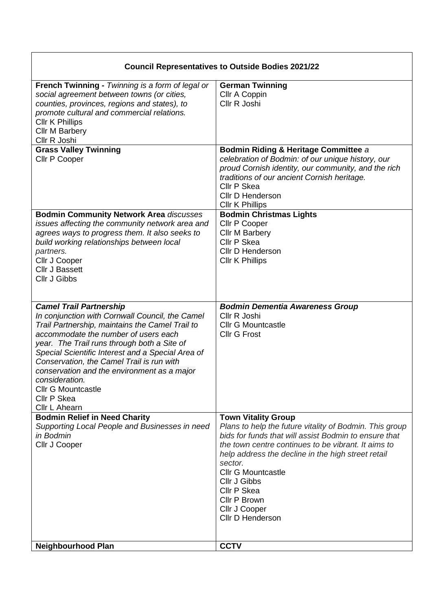| <b>Council Representatives to Outside Bodies 2021/22</b>                                                                                                                                                                                                                                                                                                                                                                                                    |                                                                                                                                                                                                                                                                                                                                                                                         |
|-------------------------------------------------------------------------------------------------------------------------------------------------------------------------------------------------------------------------------------------------------------------------------------------------------------------------------------------------------------------------------------------------------------------------------------------------------------|-----------------------------------------------------------------------------------------------------------------------------------------------------------------------------------------------------------------------------------------------------------------------------------------------------------------------------------------------------------------------------------------|
| French Twinning - Twinning is a form of legal or<br>social agreement between towns (or cities,<br>counties, provinces, regions and states), to<br>promote cultural and commercial relations.<br><b>CIIr K Phillips</b><br><b>Cllr M Barbery</b><br>Cllr R Joshi                                                                                                                                                                                             | <b>German Twinning</b><br>Cllr A Coppin<br>Cllr R Joshi                                                                                                                                                                                                                                                                                                                                 |
| <b>Grass Valley Twinning</b><br>Cllr P Cooper                                                                                                                                                                                                                                                                                                                                                                                                               | Bodmin Riding & Heritage Committee a<br>celebration of Bodmin: of our unique history, our<br>proud Cornish identity, our community, and the rich<br>traditions of our ancient Cornish heritage.<br>Cllr P Skea<br><b>Cllr D Henderson</b><br>Cllr K Phillips                                                                                                                            |
| <b>Bodmin Community Network Area discusses</b><br>issues affecting the community network area and<br>agrees ways to progress them. It also seeks to<br>build working relationships between local<br>partners.<br>Cllr J Cooper<br><b>Cllr J Bassett</b><br>Cllr J Gibbs                                                                                                                                                                                     | <b>Bodmin Christmas Lights</b><br>Cllr P Cooper<br><b>Cllr M Barbery</b><br>Cllr P Skea<br><b>Cllr D Henderson</b><br><b>Cllr K Phillips</b>                                                                                                                                                                                                                                            |
| <b>Camel Trail Partnership</b><br>In conjunction with Cornwall Council, the Camel<br>Trail Partnership, maintains the Camel Trail to<br>accommodate the number of users each<br>year. The Trail runs through both a Site of<br>Special Scientific Interest and a Special Area of<br>Conservation, the Camel Trail is run with<br>conservation and the environment as a major<br>consideration.<br><b>Cllr G Mountcastle</b><br>Cllr P Skea<br>Cllr L Ahearn | <b>Bodmin Dementia Awareness Group</b><br>Cllr R Joshi<br><b>Cllr G Mountcastle</b><br><b>Cllr G Frost</b>                                                                                                                                                                                                                                                                              |
| <b>Bodmin Relief in Need Charity</b><br>Supporting Local People and Businesses in need<br>in Bodmin<br>Cllr J Cooper                                                                                                                                                                                                                                                                                                                                        | <b>Town Vitality Group</b><br>Plans to help the future vitality of Bodmin. This group<br>bids for funds that will assist Bodmin to ensure that<br>the town centre continues to be vibrant. It aims to<br>help address the decline in the high street retail<br>sector.<br><b>Cllr G Mountcastle</b><br>Cllr J Gibbs<br>Cllr P Skea<br>Cllr P Brown<br>Cllr J Cooper<br>Cllr D Henderson |
| <b>Neighbourhood Plan</b>                                                                                                                                                                                                                                                                                                                                                                                                                                   | <b>CCTV</b>                                                                                                                                                                                                                                                                                                                                                                             |